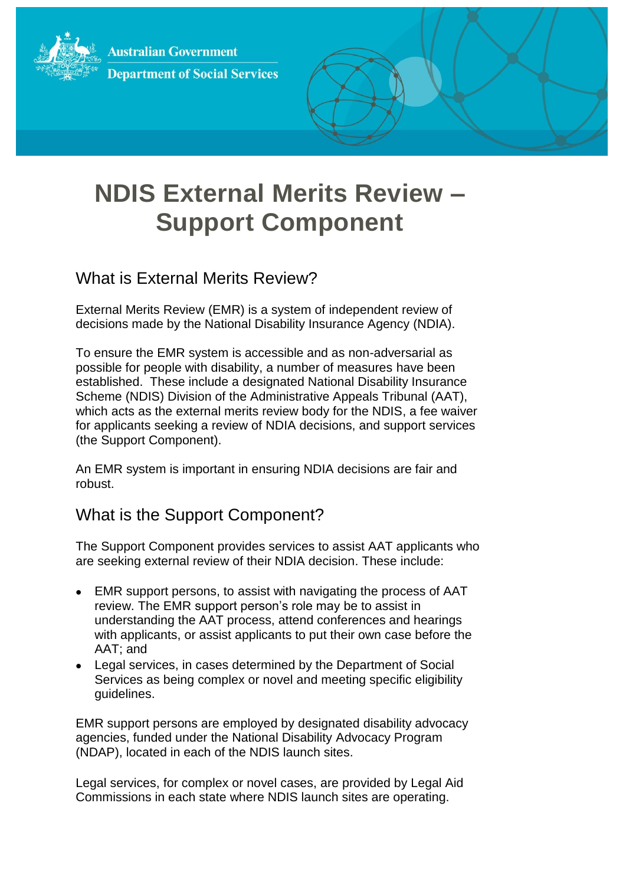**Australian Government Department of Social Services** 



# **NDIS External Merits Review – Support Component**

## What is External Merits Review?

External Merits Review (EMR) is a system of independent review of decisions made by the National Disability Insurance Agency (NDIA).

To ensure the EMR system is accessible and as non-adversarial as possible for people with disability, a number of measures have been established. These include a designated National Disability Insurance Scheme (NDIS) Division of the Administrative Appeals Tribunal (AAT), which acts as the external merits review body for the NDIS, a fee waiver for applicants seeking a review of NDIA decisions, and support services (the Support Component).

An EMR system is important in ensuring NDIA decisions are fair and robust.

### What is the Support Component?

The Support Component provides services to assist AAT applicants who are seeking external review of their NDIA decision. These include:

- EMR support persons, to assist with navigating the process of AAT review. The EMR support person's role may be to assist in understanding the AAT process, attend conferences and hearings with applicants, or assist applicants to put their own case before the AAT; and
- Legal services, in cases determined by the Department of Social Services as being complex or novel and meeting specific eligibility guidelines.

EMR support persons are employed by designated disability advocacy agencies, funded under the National Disability Advocacy Program (NDAP), located in each of the NDIS launch sites.

Legal services, for complex or novel cases, are provided by Legal Aid Commissions in each state where NDIS launch sites are operating.